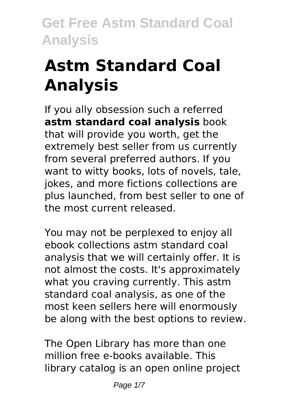# **Astm Standard Coal Analysis**

If you ally obsession such a referred **astm standard coal analysis** book that will provide you worth, get the extremely best seller from us currently from several preferred authors. If you want to witty books, lots of novels, tale, jokes, and more fictions collections are plus launched, from best seller to one of the most current released.

You may not be perplexed to enjoy all ebook collections astm standard coal analysis that we will certainly offer. It is not almost the costs. It's approximately what you craving currently. This astm standard coal analysis, as one of the most keen sellers here will enormously be along with the best options to review.

The Open Library has more than one million free e-books available. This library catalog is an open online project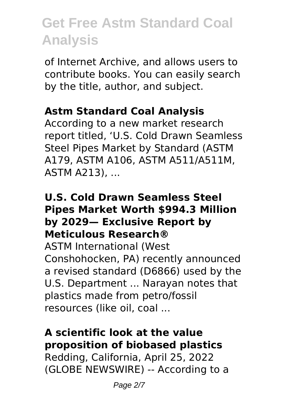of Internet Archive, and allows users to contribute books. You can easily search by the title, author, and subject.

## **Astm Standard Coal Analysis**

According to a new market research report titled, 'U.S. Cold Drawn Seamless Steel Pipes Market by Standard (ASTM A179, ASTM A106, ASTM A511/A511M, ASTM A213), ...

#### **U.S. Cold Drawn Seamless Steel Pipes Market Worth \$994.3 Million by 2029— Exclusive Report by Meticulous Research®**

ASTM International (West Conshohocken, PA) recently announced a revised standard (D6866) used by the U.S. Department ... Narayan notes that plastics made from petro/fossil resources (like oil, coal ...

### **A scientific look at the value proposition of biobased plastics**

Redding, California, April 25, 2022 (GLOBE NEWSWIRE) -- According to a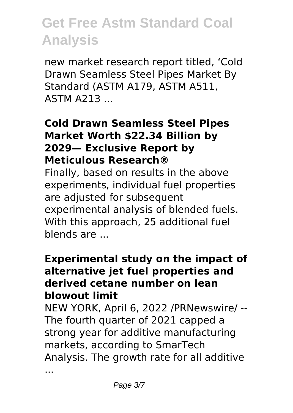new market research report titled, 'Cold Drawn Seamless Steel Pipes Market By Standard (ASTM A179, ASTM A511, ASTM A213 ...

#### **Cold Drawn Seamless Steel Pipes Market Worth \$22.34 Billion by 2029— Exclusive Report by Meticulous Research®**

Finally, based on results in the above experiments, individual fuel properties are adjusted for subsequent experimental analysis of blended fuels. With this approach, 25 additional fuel blends are ...

#### **Experimental study on the impact of alternative jet fuel properties and derived cetane number on lean blowout limit**

NEW YORK, April 6, 2022 /PRNewswire/ -- The fourth quarter of 2021 capped a strong year for additive manufacturing markets, according to SmarTech Analysis. The growth rate for all additive

...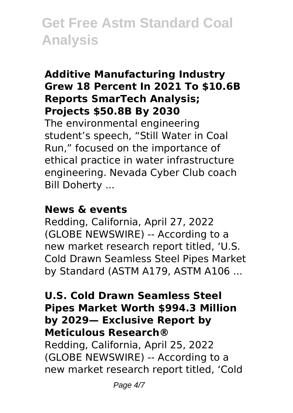### **Additive Manufacturing Industry Grew 18 Percent In 2021 To \$10.6B Reports SmarTech Analysis; Projects \$50.8B By 2030**

The environmental engineering student's speech, "Still Water in Coal Run," focused on the importance of ethical practice in water infrastructure engineering. Nevada Cyber Club coach Bill Doherty ...

#### **News & events**

Redding, California, April 27, 2022 (GLOBE NEWSWIRE) -- According to a new market research report titled, 'U.S. Cold Drawn Seamless Steel Pipes Market by Standard (ASTM A179, ASTM A106 ...

#### **U.S. Cold Drawn Seamless Steel Pipes Market Worth \$994.3 Million by 2029— Exclusive Report by Meticulous Research®**

Redding, California, April 25, 2022 (GLOBE NEWSWIRE) -- According to a new market research report titled, 'Cold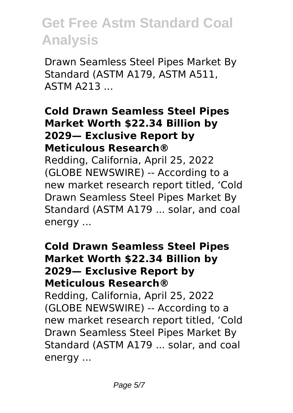Drawn Seamless Steel Pipes Market By Standard (ASTM A179, ASTM A511, ASTM A213 ...

#### **Cold Drawn Seamless Steel Pipes Market Worth \$22.34 Billion by 2029— Exclusive Report by Meticulous Research®**

Redding, California, April 25, 2022 (GLOBE NEWSWIRE) -- According to a new market research report titled, 'Cold Drawn Seamless Steel Pipes Market By Standard (ASTM A179 ... solar, and coal energy ...

### **Cold Drawn Seamless Steel Pipes Market Worth \$22.34 Billion by 2029— Exclusive Report by Meticulous Research®**

Redding, California, April 25, 2022 (GLOBE NEWSWIRE) -- According to a new market research report titled, 'Cold Drawn Seamless Steel Pipes Market By Standard (ASTM A179 ... solar, and coal energy ...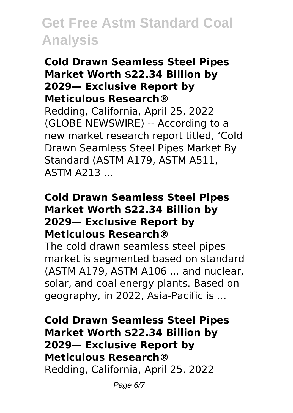#### **Cold Drawn Seamless Steel Pipes Market Worth \$22.34 Billion by 2029— Exclusive Report by Meticulous Research®**

Redding, California, April 25, 2022 (GLOBE NEWSWIRE) -- According to a new market research report titled, 'Cold Drawn Seamless Steel Pipes Market By Standard (ASTM A179, ASTM A511, ASTM A213 ...

#### **Cold Drawn Seamless Steel Pipes Market Worth \$22.34 Billion by 2029— Exclusive Report by Meticulous Research®**

The cold drawn seamless steel pipes market is segmented based on standard (ASTM A179, ASTM A106 ... and nuclear, solar, and coal energy plants. Based on geography, in 2022, Asia-Pacific is ...

**Cold Drawn Seamless Steel Pipes Market Worth \$22.34 Billion by 2029— Exclusive Report by Meticulous Research®** Redding, California, April 25, 2022

Page 6/7